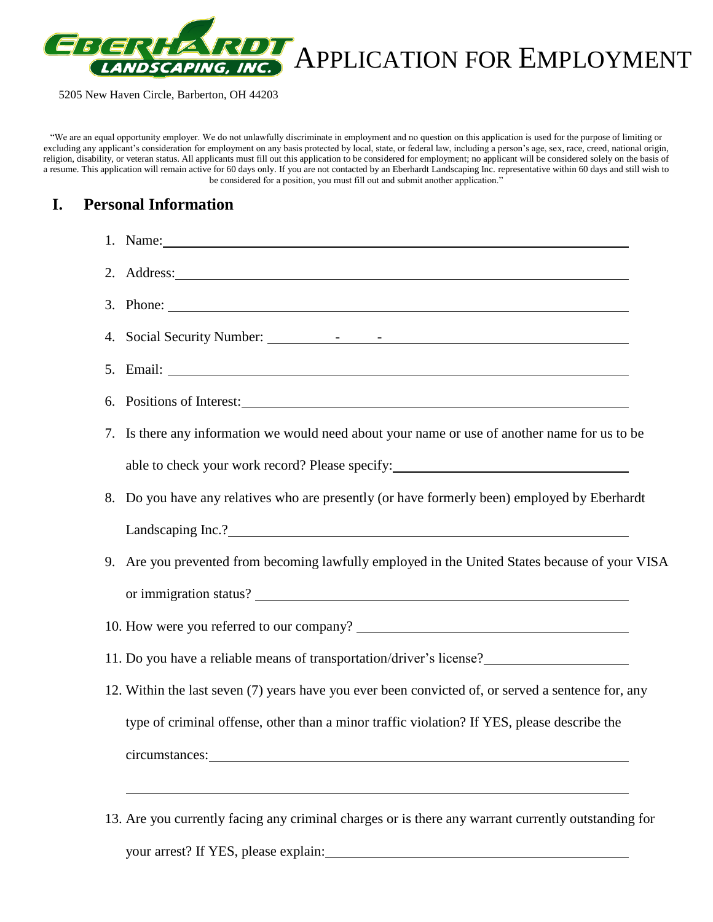

"We are an equal opportunity employer. We do not unlawfully discriminate in employment and no question on this application is used for the purpose of limiting or excluding any applicant's consideration for employment on any basis protected by local, state, or federal law, including a person's age, sex, race, creed, national origin, religion, disability, or veteran status. All applicants must fill out this application to be considered for employment; no applicant will be considered solely on the basis of a resume. This application will remain active for 60 days only. If you are not contacted by an Eberhardt Landscaping Inc. representative within 60 days and still wish to be considered for a position, you must fill out and submit another application."

## **I. Personal Information**

| 1. Name: 1. 2008. 2008. 2010. 2010. 2010. 2010. 2010. 2010. 2010. 2010. 2010. 2010. 2010. 2010. 2010. 2010. 20                                                                                                                       |  |
|--------------------------------------------------------------------------------------------------------------------------------------------------------------------------------------------------------------------------------------|--|
| 2. Address: 2. Address: 2. Address: 2. Address: 2. Address: 2. Address: 2. Address: 2. Address: 2. Address: 2. Address: 2. Address: 2. Address: 2. Address: 2. Address: 2. Address: 2. Address: 2. Address: 2. Address: 2. Add       |  |
|                                                                                                                                                                                                                                      |  |
|                                                                                                                                                                                                                                      |  |
|                                                                                                                                                                                                                                      |  |
| 6. Positions of Interest:                                                                                                                                                                                                            |  |
| 7. Is there any information we would need about your name or use of another name for us to be                                                                                                                                        |  |
| able to check your work record? Please specify: _________________________________                                                                                                                                                    |  |
| 8. Do you have any relatives who are presently (or have formerly been) employed by Eberhardt                                                                                                                                         |  |
|                                                                                                                                                                                                                                      |  |
| 9. Are you prevented from becoming lawfully employed in the United States because of your VISA                                                                                                                                       |  |
|                                                                                                                                                                                                                                      |  |
|                                                                                                                                                                                                                                      |  |
| 11. Do you have a reliable means of transportation/driver's license?                                                                                                                                                                 |  |
| 12. Within the last seven (7) years have you ever been convicted of, or served a sentence for, any                                                                                                                                   |  |
| type of criminal offense, other than a minor traffic violation? If YES, please describe the                                                                                                                                          |  |
| circumstances: <u>contract and a series of the series of the series of the series of the series of the series of the series of the series of the series of the series of the series of the series of the series of the series of</u> |  |
|                                                                                                                                                                                                                                      |  |
| 13. Are you currently facing any criminal charges or is there any warrant currently outstanding for                                                                                                                                  |  |

your arrest? If YES, please explain: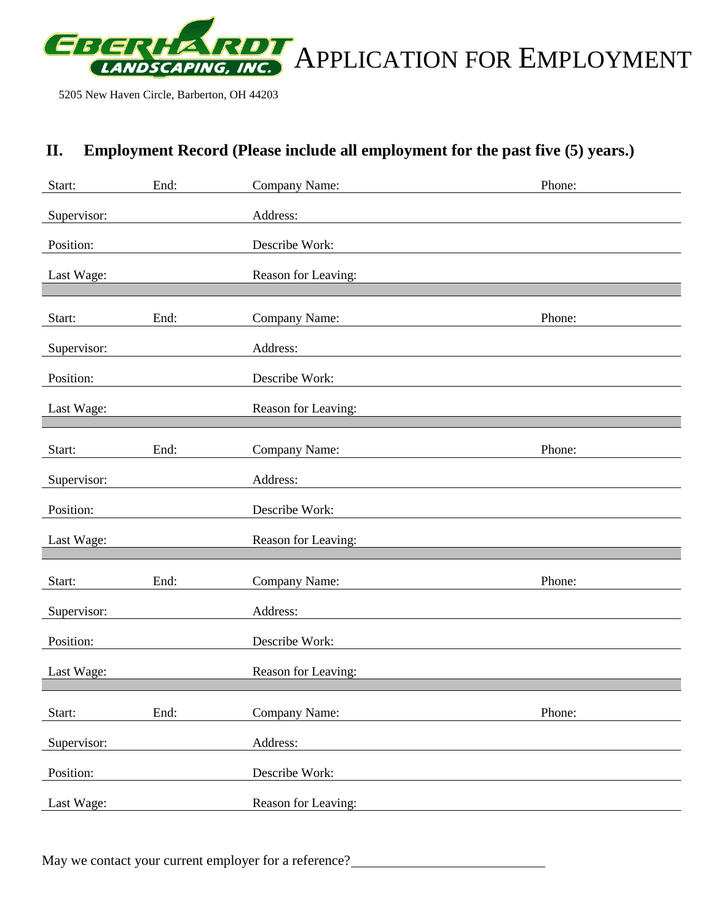

# **II. Employment Record (Please include all employment for the past five (5) years.)**

| Start:      | End: | Company Name:       | Phone: |
|-------------|------|---------------------|--------|
| Supervisor: |      | Address:            |        |
| Position:   |      | Describe Work:      |        |
| Last Wage:  |      | Reason for Leaving: |        |
|             |      |                     |        |
| Start:      | End: | Company Name:       | Phone: |
| Supervisor: |      | Address:            |        |
| Position:   |      | Describe Work:      |        |
| Last Wage:  |      | Reason for Leaving: |        |
|             |      |                     |        |
| Start:      | End: | Company Name:       | Phone: |
| Supervisor: |      | Address:            |        |
| Position:   |      | Describe Work:      |        |
| Last Wage:  |      | Reason for Leaving: |        |
|             |      |                     |        |
| Start:      | End: | Company Name:       | Phone: |
| Supervisor: |      | Address:            |        |
| Position:   |      | Describe Work:      |        |
| Last Wage:  |      | Reason for Leaving: |        |
|             |      |                     |        |
| Start:      | End: | Company Name:       | Phone: |
| Supervisor: |      | Address:            |        |
| Position:   |      | Describe Work:      |        |
| Last Wage:  |      | Reason for Leaving: |        |

May we contact your current employer for a reference?<br>
<u>May we contact your current employer for a reference?</u>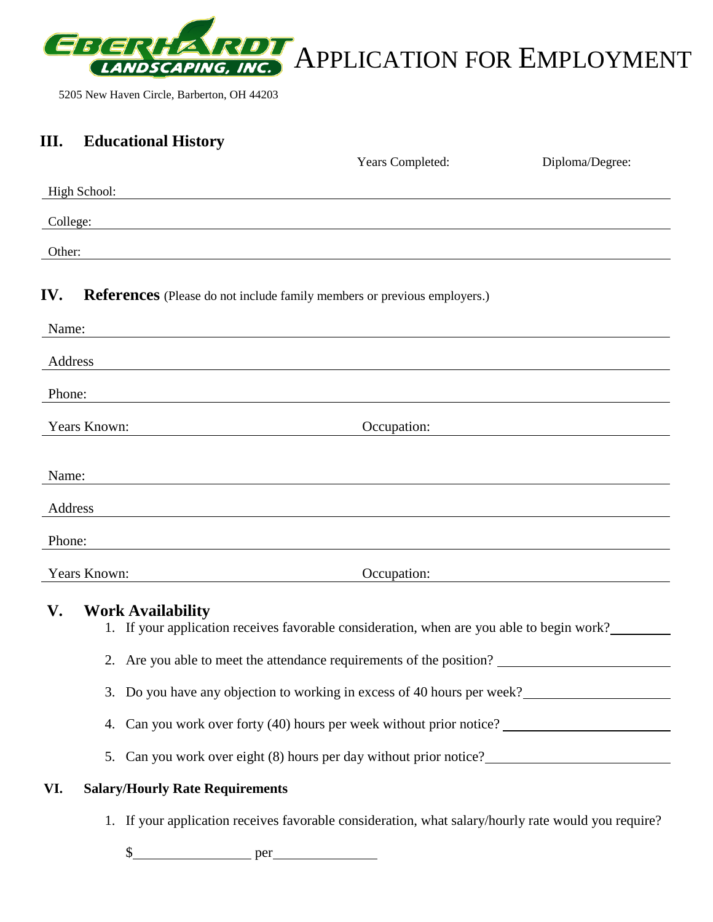

## **III. Educational History**

|                                                                                                                                 | Years Completed:                                                                                                                    | Diploma/Degree: |
|---------------------------------------------------------------------------------------------------------------------------------|-------------------------------------------------------------------------------------------------------------------------------------|-----------------|
| High School:                                                                                                                    |                                                                                                                                     |                 |
| College:                                                                                                                        |                                                                                                                                     |                 |
| Other:                                                                                                                          |                                                                                                                                     |                 |
|                                                                                                                                 |                                                                                                                                     |                 |
| IV.                                                                                                                             | <b>References</b> (Please do not include family members or previous employers.)                                                     |                 |
| Name:                                                                                                                           |                                                                                                                                     |                 |
| Address                                                                                                                         |                                                                                                                                     |                 |
| Phone:                                                                                                                          |                                                                                                                                     |                 |
| Years Known:                                                                                                                    | Occupation:                                                                                                                         |                 |
| <u> 1989 - Johann Barn, fransk politik amerikansk politik (</u>                                                                 |                                                                                                                                     |                 |
| Name:                                                                                                                           |                                                                                                                                     |                 |
| Address<br><u> 1980 - Johann Barbara, martin amerikan basar dan berasal dalam basa dalam basar dalam basar dalam basar dala</u> |                                                                                                                                     |                 |
| Phone:                                                                                                                          |                                                                                                                                     |                 |
| Years Known:                                                                                                                    | <u> 1980 - Andrea Brasil, amerikan basar basal dan berasal dalam basal dalam basal dalam basal dalam basal dalam</u><br>Occupation: |                 |
|                                                                                                                                 |                                                                                                                                     |                 |
| V.<br><b>Work Availability</b>                                                                                                  | 1. If your application receives favorable consideration, when are you able to begin work?                                           |                 |
|                                                                                                                                 |                                                                                                                                     |                 |
|                                                                                                                                 | 2. Are you able to meet the attendance requirements of the position?                                                                |                 |
|                                                                                                                                 | 3. Do you have any objection to working in excess of 40 hours per week?                                                             |                 |
|                                                                                                                                 | 4. Can you work over forty (40) hours per week without prior notice?                                                                |                 |
|                                                                                                                                 | 5. Can you work over eight (8) hours per day without prior notice?                                                                  |                 |

## **VI. Salary/Hourly Rate Requirements**

1. If your application receives favorable consideration, what salary/hourly rate would you require?

\$ per